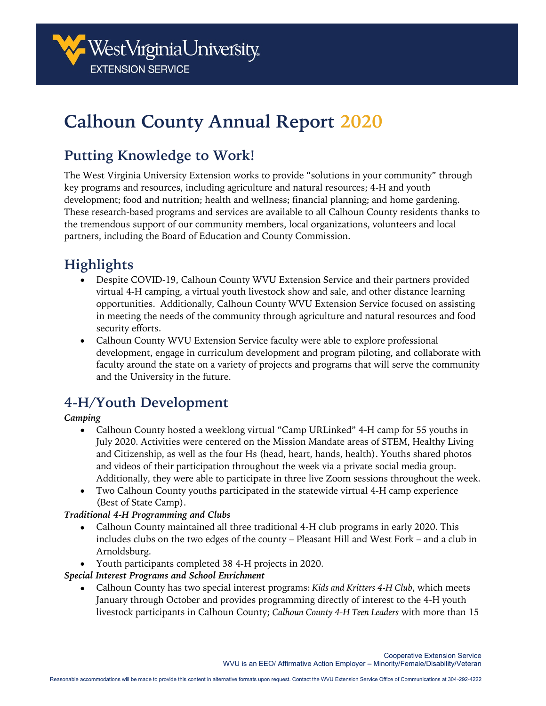

# **Calhoun County Annual Report 2020**

# **Putting Knowledge to Work!**

The West Virginia University Extension works to provide "solutions in your community" through key programs and resources, including agriculture and natural resources; 4-H and youth development; food and nutrition; health and wellness; financial planning; and home gardening. These research-based programs and services are available to all Calhoun County residents thanks to the tremendous support of our community members, local organizations, volunteers and local partners, including the Board of Education and County Commission.

# **Highlights**

- Despite COVID-19, Calhoun County WVU Extension Service and their partners provided virtual 4-H camping, a virtual youth livestock show and sale, and other distance learning opportunities. Additionally, Calhoun County WVU Extension Service focused on assisting in meeting the needs of the community through agriculture and natural resources and food security efforts.
- Calhoun County WVU Extension Service faculty were able to explore professional development, engage in curriculum development and program piloting, and collaborate with faculty around the state on a variety of projects and programs that will serve the community and the University in the future.

# **4-H/Youth Development**

#### *Camping*

- Calhoun County hosted a weeklong virtual "Camp URLinked" 4-H camp for 55 youths in July 2020. Activities were centered on the Mission Mandate areas of STEM, Healthy Living and Citizenship, as well as the four Hs (head, heart, hands, health). Youths shared photos and videos of their participation throughout the week via a private social media group. Additionally, they were able to participate in three live Zoom sessions throughout the week.
- Two Calhoun County youths participated in the statewide virtual 4-H camp experience (Best of State Camp).

#### *Traditional 4-H Programming and Clubs*

- Calhoun County maintained all three traditional 4-H club programs in early 2020. This includes clubs on the two edges of the county – Pleasant Hill and West Fork – and a club in Arnoldsburg.
- Youth participants completed 38 4-H projects in 2020.

#### *Special Interest Programs and School Enrichment*

• Calhoun County has two special interest programs: *Kids and Kritters 4-H Club*, which meets January through October and provides programming directly of interest to the 4-H youth livestock participants in Calhoun County; *Calhoun County 4-H Teen Leaders* with more than 15